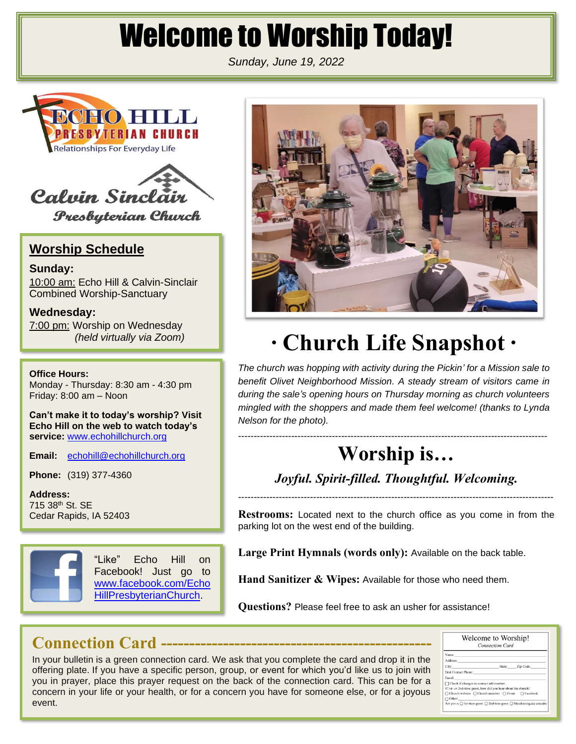# Welcome to Worship Today!

*Sunday, June 19, 2022*





**Presbyterian Church** 

# **Worship Schedule**

**Sunday:** 10:00 am: Echo Hill & Calvin-Sinclair Combined Worship-Sanctuary

**Wednesday:** 7:00 pm: Worship on Wednesday *(held virtually via Zoom)*

**Office Hours:**

Monday - Thursday: 8:30 am - 4:30 pm Friday: 8:00 am – Noon

**Can't make it to today's worship? Visit Echo Hill on the web to watch today's**  service: [www.echohillchurch.org](http://www.echohillchurch.org/)

**Email:** [echohill@echohillchurch.org](mailto:echohill@echohillchurch.org)

**Phone:** (319) 377-4360

**Address:** 715 38th St. SE Cedar Rapids, IA 52403



"Like" Echo Hill on Facebook! Just go to [www.facebook.com/Echo](http://www.facebook.com/EchoHillPresbyterianChurch) [HillPresbyterianChurch.](http://www.facebook.com/EchoHillPresbyterianChurch)



# **∙ Church Life Snapshot ∙**

*The church was hopping with activity during the Pickin' for a Mission sale to benefit Olivet Neighborhood Mission. A steady stream of visitors came in during the sale's opening hours on Thursday morning as church volunteers mingled with the shoppers and made them feel welcome! (thanks to Lynda Nelson for the photo).*

# **Worship is…**

---------------------------------------------------------------------------------------------------

*Joyful. Spirit-filled. Thoughtful. Welcoming.*

-----------------------------------------------------------------------------------------------------

**Restrooms:** Located next to the church office as you come in from the parking lot on the west end of the building.

**Large Print Hymnals (words only):** Available on the back table.

**Hand Sanitizer & Wipes:** Available for those who need them.

**Questions?** Please feel free to ask an usher for assistance!

# **Connection Card ------------------------------------------------**

In your bulletin is a green connection card. We ask that you complete the card and drop it in the offering plate. If you have a specific person, group, or event for which you'd like us to join with you in prayer, place this prayer request on the back of the connection card. This can be for a concern in your life or your health, or for a concern you have for someone else, or for a joyous event.

| Welcome to Worship!<br><b>Connection Card</b>                                                     |  |                  |  |
|---------------------------------------------------------------------------------------------------|--|------------------|--|
| Name:                                                                                             |  |                  |  |
| Address:                                                                                          |  |                  |  |
| City:                                                                                             |  | State: Zip Code: |  |
| <b>Best Contact Phone:</b>                                                                        |  |                  |  |
| Email:                                                                                            |  |                  |  |
| $\Box$ Check if changes in contact information                                                    |  |                  |  |
| If 1st- or 2nd-time guest, how did you hear about the church?                                     |  |                  |  |
| ○ Church website ○ Church member ○ Event ○ Facebook                                               |  |                  |  |
| $\bigcap$ Other:                                                                                  |  |                  |  |
| Are you a: $\bigcirc$ 1st-time guest $\bigcirc$ 2nd-time guest $\bigcirc$ Member/regular attender |  |                  |  |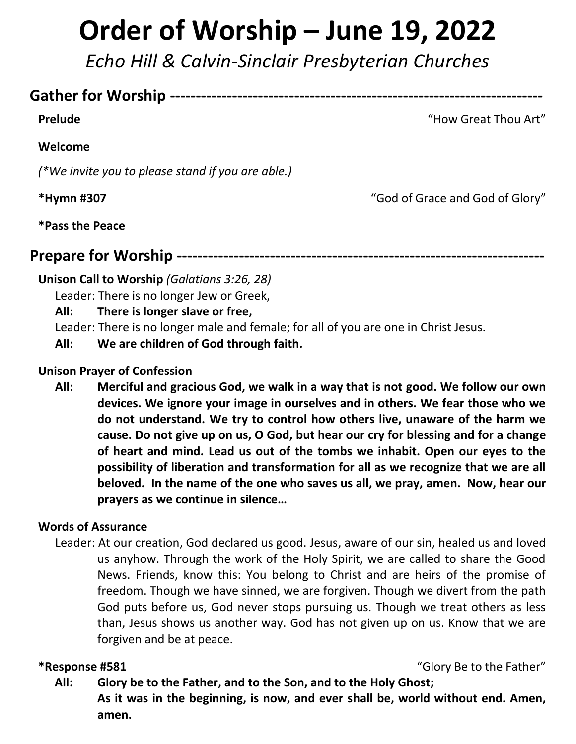# **Order of Worship – June 19, 2022**

*Echo Hill & Calvin-Sinclair Presbyterian Churches*

# **Gather for Worship ------------------------------------------------------------------------**

**Prelude** Thou Art<sup>"</sup> **Prelude** Thou Art"

# **Welcome**

*(\*We invite you to please stand if you are able.)*

**\*Hymn #307** "God of Grace and God of Glory"

**\*Pass the Peace**

**Prepare for Worship -----------------------------------------------------------------------**

#### **Unison Call to Worship** *(Galatians 3:26, 28)*

Leader: There is no longer Jew or Greek,

**All: There is longer slave or free,**

Leader: There is no longer male and female; for all of you are one in Christ Jesus.

**All: We are children of God through faith.**

#### **Unison Prayer of Confession**

**All: Merciful and gracious God, we walk in a way that is not good. We follow our own devices. We ignore your image in ourselves and in others. We fear those who we do not understand. We try to control how others live, unaware of the harm we cause. Do not give up on us, O God, but hear our cry for blessing and for a change of heart and mind. Lead us out of the tombs we inhabit. Open our eyes to the possibility of liberation and transformation for all as we recognize that we are all beloved. In the name of the one who saves us all, we pray, amen. Now, hear our prayers as we continue in silence…**

# **Words of Assurance**

Leader: At our creation, God declared us good. Jesus, aware of our sin, healed us and loved us anyhow. Through the work of the Holy Spirit, we are called to share the Good News. Friends, know this: You belong to Christ and are heirs of the promise of freedom. Though we have sinned, we are forgiven. Though we divert from the path God puts before us, God never stops pursuing us. Though we treat others as less than, Jesus shows us another way. God has not given up on us. Know that we are forgiven and be at peace.

#### **\*Response #581** "Glory Be to the Father"

**All: Glory be to the Father, and to the Son, and to the Holy Ghost; As it was in the beginning, is now, and ever shall be, world without end. Amen, amen.**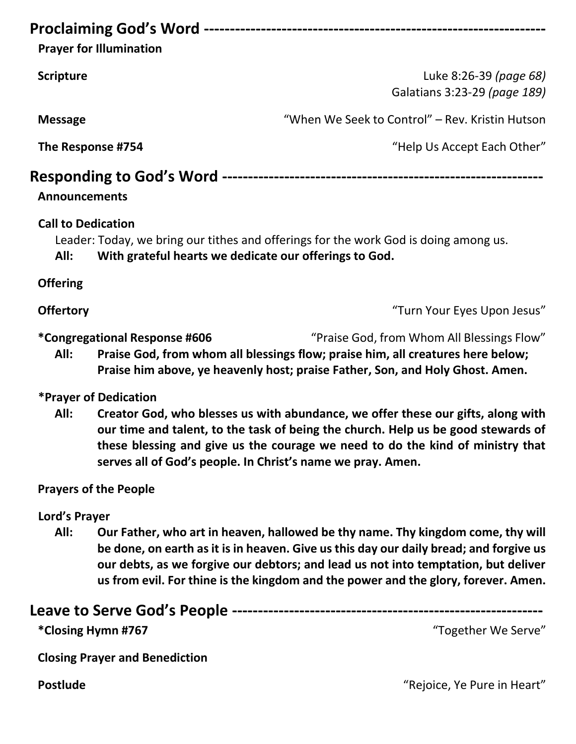# **Proclaiming God's Word ------------------------------------------------------------------**

**Prayer for Illumination**

**Scripture** Luke 8:26-39 *(page 68)* Galatians 3:23-29 *(page 189)*

**Message** "When We Seek to Control" – Rev. Kristin Hutson

**The Response #754 The Response #754** *Megale 100 mg/magic 100 mg/magic 4754**mg/magic 4754**mg/magic 4754**mg/magic 4754**mg/magic 4754**mg/magic 4754**mg/magic 4754**mg/magic 4754**mg/magic 4754**mg/magic 475* 

# **Responding to God's Word --------------------------------------------------------------**

# **Announcements**

# **Call to Dedication**

Leader: Today, we bring our tithes and offerings for the work God is doing among us.

**All: With grateful hearts we dedicate our offerings to God.**

**Offering**

**Offertory Contract Contract Contract Contract Contract Contract Contract Contract Contract Contract Contract Contract Contract Contract Contract Contract Contract Contract Contract Contract Contract Contract Contract Co** 

**\*Congregational Response #606** "Praise God, from Whom All Blessings Flow"

**All: Praise God, from whom all blessings flow; praise him, all creatures here below; Praise him above, ye heavenly host; praise Father, Son, and Holy Ghost. Amen.**

# **\*Prayer of Dedication**

**All: Creator God, who blesses us with abundance, we offer these our gifts, along with our time and talent, to the task of being the church. Help us be good stewards of these blessing and give us the courage we need to do the kind of ministry that serves all of God's people. In Christ's name we pray. Amen.**

# **Prayers of the People**

# **Lord's Prayer**

**All: Our Father, who art in heaven, hallowed be thy name. Thy kingdom come, thy will be done, on earth as it is in heaven. Give us this day our daily bread; and forgive us our debts, as we forgive our debtors; and lead us not into temptation, but deliver us from evil. For thine is the kingdom and the power and the glory, forever. Amen.**

# **Leave to Serve God's People ------------------------------------------------------------**

**\*Closing Hymn #767** "Together We Serve"

**Closing Prayer and Benediction**

**Postlude** The Pure in Heart<sup>"</sup> The Pure in Heart" Construction of the Second Postlude Theories of the Pure in Heart"